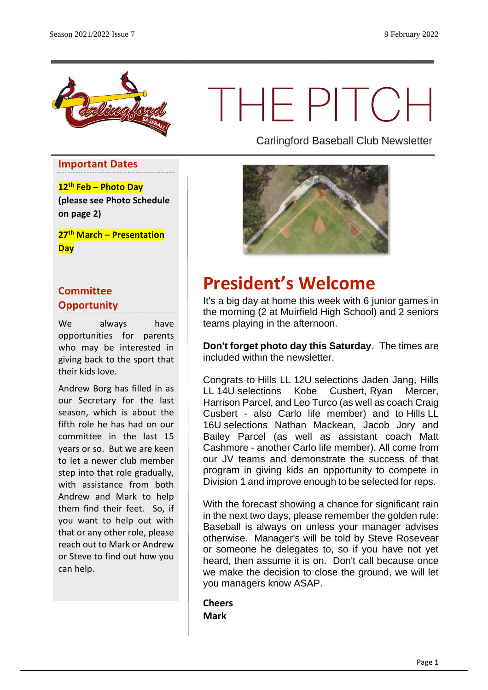

# THEPITCH

**Important Dates**

**12th Feb – Photo Day (please see Photo Schedule on page 2)**

**27th March – Presentation Day**

#### **Committee Opportunity**

We always have opportunities for parents who may be interested in giving back to the sport that their kids love.

Andrew Borg has filled in as our Secretary for the last season, which is about the fifth role he has had on our committee in the last 15 years or so. But we are keen to let a newer club member step into that role gradually, with assistance from both Andrew and Mark to help them find their feet. So, if you want to help out with that or any other role, please reach out to Mark or Andrew or Steve to find out how you can help.

Carlingford Baseball Club Newsletter



## **President's Welcome**

It's a big day at home this week with 6 junior games in the morning (2 at Muirfield High School) and 2 seniors teams playing in the afternoon.

**Don't forget photo day this Saturday**. The times are included within the newsletter.

Congrats to Hills LL 12U selections Jaden Jang, Hills LL 14U selections Kobe Cusbert, Ryan Mercer, Harrison Parcel, and Leo Turco (as well as coach Craig Cusbert - also Carlo life member) and to Hills LL 16U selections Nathan Mackean, Jacob Jory and Bailey Parcel (as well as assistant coach Matt Cashmore - another Carlo life member). All come from our JV teams and demonstrate the success of that program in giving kids an opportunity to compete in Division 1 and improve enough to be selected for reps.

With the forecast showing a chance for significant rain in the next two days, please remember the golden rule: Baseball is always on unless your manager advises otherwise. Manager's will be told by Steve Rosevear or someone he delegates to, so if you have not yet heard, then assume it is on. Don't call because once we make the decision to close the ground, we will let you managers know ASAP.

**Cheers Mark**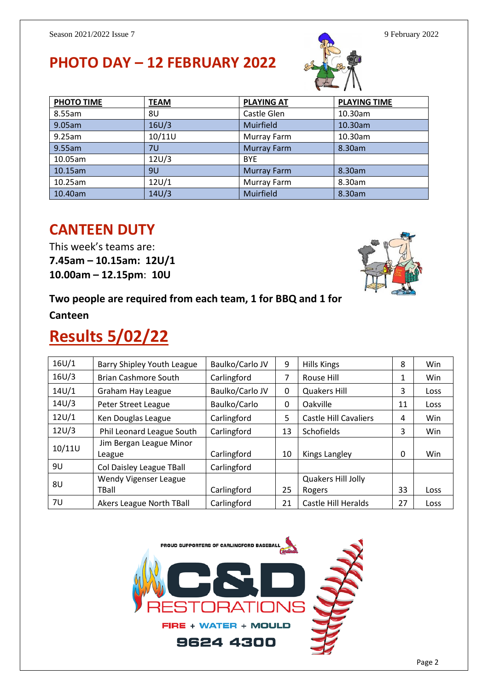## **PHOTO DAY – 12 FEBRUARY 2022**



| <b>PHOTO TIME</b> | <b>TEAM</b> | <b>PLAYING AT</b>  | <b>PLAYING TIME</b> |
|-------------------|-------------|--------------------|---------------------|
| 8.55am            | 8U          | Castle Glen        | 10.30am             |
| 9.05am            | 16U/3       | Muirfield          | 10.30am             |
| 9.25am            | 10/11U      | Murray Farm        | 10.30am             |
| 9.55am            | 7U          | <b>Murray Farm</b> | 8.30am              |
| 10.05am           | 12U/3       | <b>BYE</b>         |                     |
| 10.15am           | 9U          | <b>Murray Farm</b> | 8.30am              |
| 10.25am           | 12U/1       | Murray Farm        | 8.30am              |
| 10.40am           | 14U/3       | Muirfield          | 8.30am              |

#### **CANTEEN DUTY**

This week's teams are: **7.45am – 10.15am: 12U/1 10.00am – 12.15pm**: **10U**

#### **Two people are required from each team, 1 for BBQ and 1 for**

**Canteen**

## **Results 5/02/22**

| 16U/1  | Barry Shipley Youth League        | Baulko/Carlo JV | 9  | <b>Hills Kings</b>           | 8  | <b>Win</b> |
|--------|-----------------------------------|-----------------|----|------------------------------|----|------------|
| 16U/3  | <b>Brian Cashmore South</b>       | Carlingford     | 7  | Rouse Hill                   | 1  | Win        |
| 14U/1  | Graham Hay League                 | Baulko/Carlo JV | 0  | <b>Quakers Hill</b>          | 3  | Loss       |
| 14U/3  | Peter Street League               | Baulko/Carlo    | 0  | Oakville                     | 11 | Loss       |
| 12U/1  | Ken Douglas League                | Carlingford     | 5. | <b>Castle Hill Cavaliers</b> | 4  | <b>Win</b> |
| 12U/3  | Phil Leonard League South         | Carlingford     | 13 | Schofields                   | 3  | Win        |
| 10/11U | Jim Bergan League Minor<br>League | Carlingford     | 10 | Kings Langley                | 0  | <b>Win</b> |
| 9U     | Col Daisley League TBall          | Carlingford     |    |                              |    |            |
| 8U     | Wendy Vigenser League             |                 |    | Quakers Hill Jolly           |    |            |
|        | TBall                             | Carlingford     | 25 | Rogers                       | 33 | Loss       |
| 7U     | Akers League North TBall          | Carlingford     | 21 | Castle Hill Heralds          | 27 | Loss       |

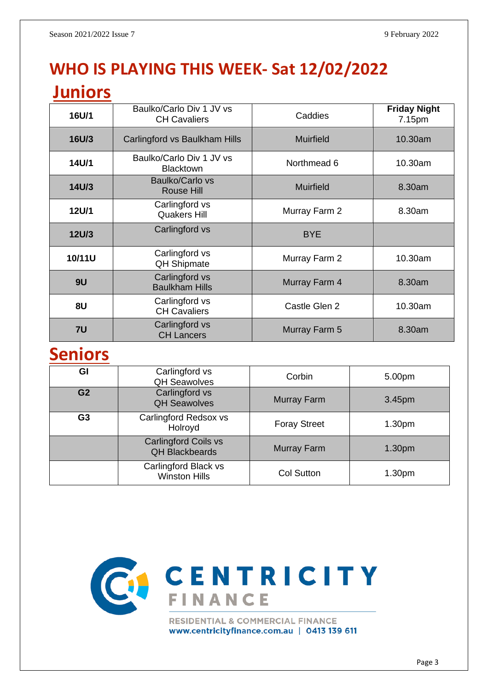## **WHO IS PLAYING THIS WEEK- Sat 12/02/2022**

### **Juniors**

| 16U/1        | Baulko/Carlo Div 1 JV vs<br><b>CH Cavaliers</b> | Caddies          | <b>Friday Night</b><br>7.15pm |
|--------------|-------------------------------------------------|------------------|-------------------------------|
| 16U/3        | Carlingford vs Baulkham Hills                   | <b>Muirfield</b> | 10.30am                       |
| 14U/1        | Baulko/Carlo Div 1 JV vs<br><b>Blacktown</b>    | Northmead 6      | 10.30am                       |
| 14U/3        | Baulko/Carlo vs<br><b>Rouse Hill</b>            | <b>Muirfield</b> | 8.30am                        |
| 12U/1        | Carlingford vs<br><b>Quakers Hill</b>           | Murray Farm 2    | 8.30am                        |
| <b>12U/3</b> | Carlingford vs                                  | <b>BYE</b>       |                               |
| 10/11U       | Carlingford vs<br><b>QH Shipmate</b>            | Murray Farm 2    | 10.30am                       |
| 9U           | Carlingford vs<br><b>Baulkham Hills</b>         | Murray Farm 4    | 8.30am                        |
| 8U           | Carlingford vs<br><b>CH Cavaliers</b>           | Castle Glen 2    | 10.30am                       |
| 7U           | Carlingford vs<br><b>CH Lancers</b>             | Murray Farm 5    | 8.30am                        |

## **Seniors**

| GI             | Carlingford vs<br><b>QH Seawolves</b>                | Corbin              | 5.00pm             |
|----------------|------------------------------------------------------|---------------------|--------------------|
| G <sub>2</sub> | Carlingford vs<br><b>QH Seawolves</b>                | <b>Murray Farm</b>  | 3.45pm             |
| G <sub>3</sub> | Carlingford Redsox vs<br>Holroyd                     | <b>Foray Street</b> | 1.30 <sub>pm</sub> |
|                | <b>Carlingford Coils vs</b><br><b>QH Blackbeards</b> | Murray Farm         | 1.30 <sub>pm</sub> |
|                | Carlingford Black vs<br><b>Winston Hills</b>         | <b>Col Sutton</b>   | 1.30pm             |



www.centricityfinance.com.au | 0413 139 611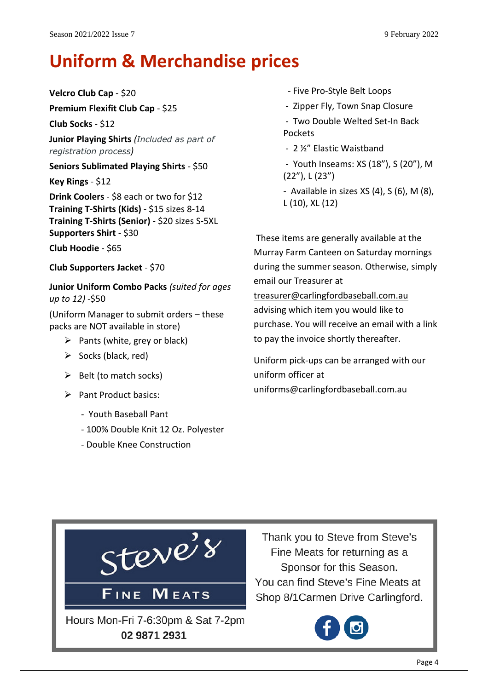## **Uniform & Merchandise prices**

**Velcro Club Cap** - \$20

**Premium Flexifit Club Cap** - \$25

**Club Socks** - \$12

**Junior Playing Shirts** *(Included as part of registration process)*

**Seniors Sublimated Playing Shirts** - \$50

**Key Rings** - \$12

**Drink Coolers** - \$8 each or two for \$12 **Training T-Shirts (Kids)** - \$15 sizes 8-14 **Training T-Shirts (Senior)** - \$20 sizes S-5XL **Supporters Shirt** - \$30

**Club Hoodie** - \$65

**Club Supporters Jacket** - \$70

**Junior Uniform Combo Packs** *(suited for ages up to 12)* -\$50

(Uniform Manager to submit orders – these packs are NOT available in store)

- $\triangleright$  Pants (white, grey or black)
- $\triangleright$  Socks (black, red)
- $\triangleright$  Belt (to match socks)
- ➢ Pant Product basics:
	- Youth Baseball Pant
	- 100% Double Knit 12 Oz. Polyester
	- Double Knee Construction
- Five Pro-Style Belt Loops
- Zipper Fly, Town Snap Closure
- Two Double Welted Set-In Back Pockets
- 2 ½" Elastic Waistband
- Youth Inseams: XS (18"), S (20"), M (22"), L (23")
- Available in sizes  $XS(4)$ ,  $S(6)$ ,  $M(8)$ , L (10), XL (12)

These items are generally available at the Murray Farm Canteen on Saturday mornings during the summer season. Otherwise, simply email our Treasurer at [treasurer@carlingfordbaseball.com.au](mailto:treasurer@carlingfordbaseball.com.au) advising which item you would like to purchase. You will receive an email with a link

Uniform pick-ups can be arranged with our uniform officer at [uniforms@carlingfordbaseball.com.au](mailto:uniforms@carlingfordbaseball.com.au)

to pay the invoice shortly thereafter.



Thank you to Steve from Steve's Fine Meats for returning as a Sponsor for this Season. You can find Steve's Fine Meats at Shop 8/1 Carmen Drive Carlingford.

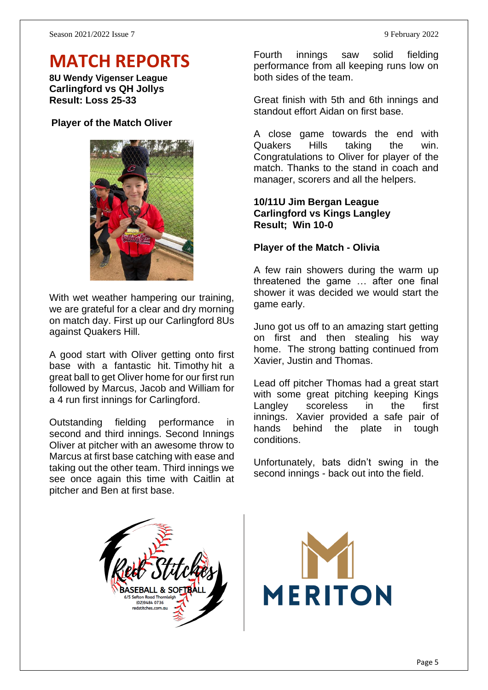## **MATCH REPORTS**

**8U Wendy Vigenser League Carlingford vs QH Jollys Result: Loss 25-33**

#### **Player of the Match Oliver**



With wet weather hampering our training, we are grateful for a clear and dry morning on match day. First up our Carlingford 8Us against Quakers Hill.

A good start with Oliver getting onto first base with a fantastic hit. Timothy hit a great ball to get Oliver home for our first run followed by Marcus, Jacob and William for a 4 run first innings for Carlingford.

Outstanding fielding performance in second and third innings. Second Innings Oliver at pitcher with an awesome throw to Marcus at first base catching with ease and taking out the other team. Third innings we see once again this time with Caitlin at pitcher and Ben at first base.

Fourth innings saw solid fielding performance from all keeping runs low on both sides of the team.

Great finish with 5th and 6th innings and standout effort Aidan on first base.

A close game towards the end with Quakers Hills taking the win. Congratulations to Oliver for player of the match. Thanks to the stand in coach and manager, scorers and all the helpers.

#### **10/11U Jim Bergan League Carlingford vs Kings Langley Result; Win 10-0**

#### **Player of the Match - Olivia**

A few rain showers during the warm up threatened the game … after one final shower it was decided we would start the game early.

Juno got us off to an amazing start getting on first and then stealing his way home. The strong batting continued from Xavier, Justin and Thomas.

Lead off pitcher Thomas had a great start with some great pitching keeping Kings Langley scoreless in the first innings. Xavier provided a safe pair of hands behind the plate in tough conditions.

Unfortunately, bats didn't swing in the second innings - back out into the field.